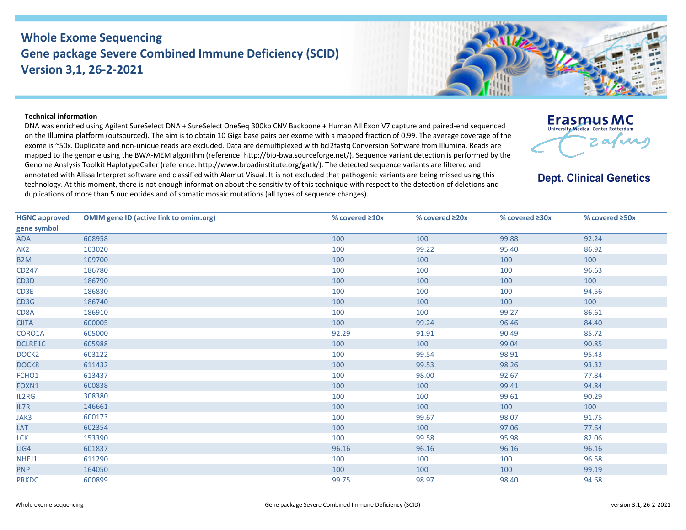## **Whole Exome Sequencing Gene package Severe Combined Immune Deficiency (SCID) Version 3,1, 26-2-2021**



## **Technical information**

DNA was enriched using Agilent SureSelect DNA + SureSelect OneSeq 300kb CNV Backbone + Human All Exon V7 capture and paired-end sequenced on the Illumina platform (outsourced). The aim is to obtain 10 Giga base pairs per exome with a mapped fraction of 0.99. The average coverage of the exome is ~50x. Duplicate and non-unique reads are excluded. Data are demultiplexed with bcl2fastq Conversion Software from Illumina. Reads are mapped to the genome using the BWA-MEM algorithm (reference: http://bio-bwa.sourceforge.net/). Sequence variant detection is performed by the Genome Analysis Toolkit HaplotypeCaller (reference: http://www.broadinstitute.org/gatk/). The detected sequence variants are filtered and annotated with Alissa Interpret software and classified with Alamut Visual. It is not excluded that pathogenic variants are being missed using this technology. At this moment, there is not enough information about the sensitivity of this technique with respect to the detection of deletions and duplications of more than 5 nucleotides and of somatic mosaic mutations (all types of sequence changes).



**Dept. Clinical Genetics** 

| <b>HGNC approved</b> | <b>OMIM gene ID (active link to omim.org)</b> | % covered ≥10x | % covered ≥20x | % covered ≥30x | % covered ≥50x |
|----------------------|-----------------------------------------------|----------------|----------------|----------------|----------------|
| gene symbol          |                                               |                |                |                |                |
| <b>ADA</b>           | 608958                                        | 100            | 100            | 99.88          | 92.24          |
| AK <sub>2</sub>      | 103020                                        | 100            | 99.22          | 95.40          | 86.92          |
| B <sub>2</sub> M     | 109700                                        | 100            | 100            | 100            | 100            |
| CD247                | 186780                                        | 100            | 100            | 100            | 96.63          |
| CD <sub>3</sub> D    | 186790                                        | 100            | 100            | 100            | 100            |
| CD3E                 | 186830                                        | 100            | 100            | 100            | 94.56          |
| CD3G                 | 186740                                        | 100            | 100            | 100            | 100            |
| CD8A                 | 186910                                        | 100            | 100            | 99.27          | 86.61          |
| <b>CIITA</b>         | 600005                                        | 100            | 99.24          | 96.46          | 84.40          |
| CORO1A               | 605000                                        | 92.29          | 91.91          | 90.49          | 85.72          |
| DCLRE1C              | 605988                                        | 100            | 100            | 99.04          | 90.85          |
| DOCK <sub>2</sub>    | 603122                                        | 100            | 99.54          | 98.91          | 95.43          |
| DOCK8                | 611432                                        | 100            | 99.53          | 98.26          | 93.32          |
| FCHO1                | 613437                                        | 100            | 98.00          | 92.67          | 77.84          |
| FOXN1                | 600838                                        | 100            | 100            | 99.41          | 94.84          |
| IL2RG                | 308380                                        | 100            | 100            | 99.61          | 90.29          |
| IL7R                 | 146661                                        | 100            | 100            | 100            | 100            |
| JAK3                 | 600173                                        | 100            | 99.67          | 98.07          | 91.75          |
| LAT                  | 602354                                        | 100            | 100            | 97.06          | 77.64          |
| <b>LCK</b>           | 153390                                        | 100            | 99.58          | 95.98          | 82.06          |
| LIG4                 | 601837                                        | 96.16          | 96.16          | 96.16          | 96.16          |
| NHEJ1                | 611290                                        | 100            | 100            | 100            | 96.58          |
| <b>PNP</b>           | 164050                                        | 100            | 100            | 100            | 99.19          |
| <b>PRKDC</b>         | 600899                                        | 99.75          | 98.97          | 98.40          | 94.68          |